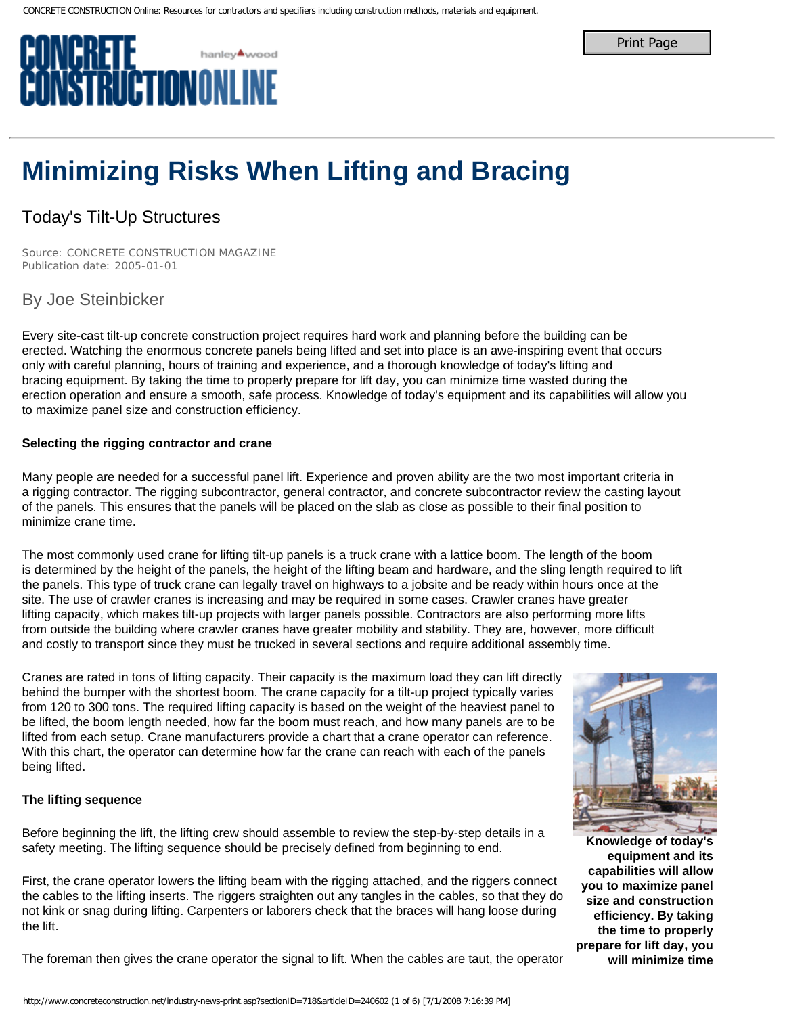# **Minimizing Risks When Lifting and Bracing**

# Today's Tilt-Up Structures

*Source: CONCRETE CONSTRUCTION MAGAZINE Publication date: 2005-01-01* 

## By Joe Steinbicker

Every site-cast tilt-up concrete construction project requires hard work and planning before the building can be erected. Watching the enormous concrete panels being lifted and set into place is an awe-inspiring event that occurs only with careful planning, hours of training and experience, and a thorough knowledge of today's lifting and bracing equipment. By taking the time to properly prepare for lift day, you can minimize time wasted during the erection operation and ensure a smooth, safe process. Knowledge of today's equipment and its capabilities will allow you to maximize panel size and construction efficiency.

### **Selecting the rigging contractor and crane**

Many people are needed for a successful panel lift. Experience and proven ability are the two most important criteria in a rigging contractor. The rigging subcontractor, general contractor, and concrete subcontractor review the casting layout of the panels. This ensures that the panels will be placed on the slab as close as possible to their final position to minimize crane time.

The most commonly used crane for lifting tilt-up panels is a truck crane with a lattice boom. The length of the boom is determined by the height of the panels, the height of the lifting beam and hardware, and the sling length required to lift the panels. This type of truck crane can legally travel on highways to a jobsite and be ready within hours once at the site. The use of crawler cranes is increasing and may be required in some cases. Crawler cranes have greater lifting capacity, which makes tilt-up projects with larger panels possible. Contractors are also performing more lifts from outside the building where crawler cranes have greater mobility and stability. They are, however, more difficult and costly to transport since they must be trucked in several sections and require additional assembly time. **Philip Case of Example, 2008. The Case of Case of Case of Figure 2008. The Case of Case of Case of Case of Case of Case of Case of Case of Case of Case of Case of Case of Case of Case of Case of Case of Case of Case of Ca** 

Cranes are rated in tons of lifting capacity. Their capacity is the maximum load they can lift directly behind the bumper with the shortest boom. The crane capacity for a tilt-up project typically varies from 120 to 300 tons. The required lifting capacity is based on the weight of the heaviest panel to be lifted, the boom length needed, how far the boom must reach, and how many panels are to be lifted from each setup. Crane manufacturers provide a chart that a crane operator can reference. With this chart, the operator can determine how far the crane can reach with each of the panels being lifted.

### **The lifting sequence**

Before beginning the lift, the lifting crew should assemble to review the step-by-step details in a safety meeting. The lifting sequence should be precisely defined from beginning to end.

First, the crane operator lowers the lifting beam with the rigging attached, and the riggers connect the cables to the lifting inserts. The riggers straighten out any tangles in the cables, so that they do not kink or snag during lifting. Carpenters or laborers check that the braces will hang loose during the lift.

The foreman then gives the crane operator the signal to lift. When the cables are taut, the operator



**Knowledge of today's equipment and its capabilities will allow you to maximize panel size and construction efficiency. By taking the time to properly prepare for lift day, you will minimize time**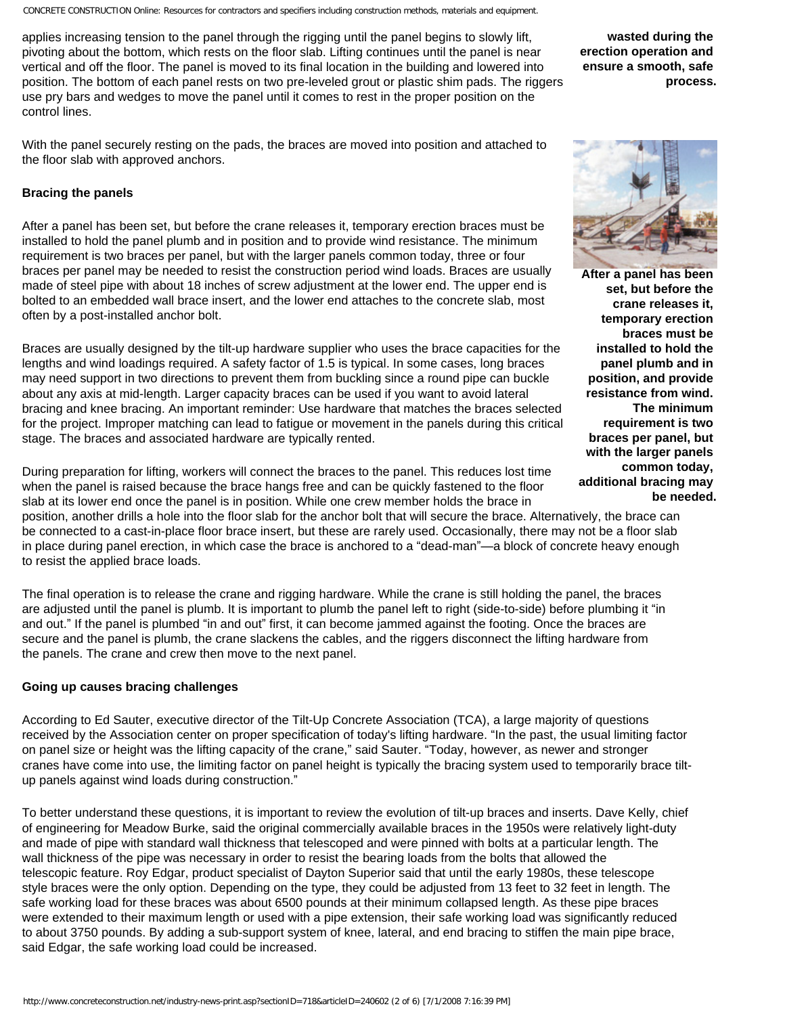applies increasing tension to the panel through the rigging until the panel begins to slowly lift, pivoting about the bottom, which rests on the floor slab. Lifting continues until the panel is near vertical and off the floor. The panel is moved to its final location in the building and lowered into position. The bottom of each panel rests on two pre-leveled grout or plastic shim pads. The riggers use pry bars and wedges to move the panel until it comes to rest in the proper position on the control lines.

With the panel securely resting on the pads, the braces are moved into position and attached to the floor slab with approved anchors.

#### **Bracing the panels**

After a panel has been set, but before the crane releases it, temporary erection braces must be installed to hold the panel plumb and in position and to provide wind resistance. The minimum requirement is two braces per panel, but with the larger panels common today, three or four braces per panel may be needed to resist the construction period wind loads. Braces are usually made of steel pipe with about 18 inches of screw adjustment at the lower end. The upper end is bolted to an embedded wall brace insert, and the lower end attaches to the concrete slab, most often by a post-installed anchor bolt.

Braces are usually designed by the tilt-up hardware supplier who uses the brace capacities for the lengths and wind loadings required. A safety factor of 1.5 is typical. In some cases, long braces may need support in two directions to prevent them from buckling since a round pipe can buckle about any axis at mid-length. Larger capacity braces can be used if you want to avoid lateral bracing and knee bracing. An important reminder: Use hardware that matches the braces selected for the project. Improper matching can lead to fatigue or movement in the panels during this critical stage. The braces and associated hardware are typically rented.

During preparation for lifting, workers will connect the braces to the panel. This reduces lost time when the panel is raised because the brace hangs free and can be quickly fastened to the floor slab at its lower end once the panel is in position. While one crew member holds the brace in

position, another drills a hole into the floor slab for the anchor bolt that will secure the brace. Alternatively, the brace can be connected to a cast-in-place floor brace insert, but these are rarely used. Occasionally, there may not be a floor slab in place during panel erection, in which case the brace is anchored to a "dead-man"—a block of concrete heavy enough to resist the applied brace loads.

The final operation is to release the crane and rigging hardware. While the crane is still holding the panel, the braces are adjusted until the panel is plumb. It is important to plumb the panel left to right (side-to-side) before plumbing it "in and out." If the panel is plumbed "in and out" first, it can become jammed against the footing. Once the braces are secure and the panel is plumb, the crane slackens the cables, and the riggers disconnect the lifting hardware from the panels. The crane and crew then move to the next panel.

#### **Going up causes bracing challenges**

According to Ed Sauter, executive director of the Tilt-Up Concrete Association (TCA), a large majority of questions received by the Association center on proper specification of today's lifting hardware. "In the past, the usual limiting factor on panel size or height was the lifting capacity of the crane," said Sauter. "Today, however, as newer and stronger cranes have come into use, the limiting factor on panel height is typically the bracing system used to temporarily brace tiltup panels against wind loads during construction."

To better understand these questions, it is important to review the evolution of tilt-up braces and inserts. Dave Kelly, chief of engineering for Meadow Burke, said the original commercially available braces in the 1950s were relatively light-duty and made of pipe with standard wall thickness that telescoped and were pinned with bolts at a particular length. The wall thickness of the pipe was necessary in order to resist the bearing loads from the bolts that allowed the telescopic feature. Roy Edgar, product specialist of Dayton Superior said that until the early 1980s, these telescope style braces were the only option. Depending on the type, they could be adjusted from 13 feet to 32 feet in length. The safe working load for these braces was about 6500 pounds at their minimum collapsed length. As these pipe braces were extended to their maximum length or used with a pipe extension, their safe working load was significantly reduced to about 3750 pounds. By adding a sub-support system of knee, lateral, and end bracing to stiffen the main pipe brace, said Edgar, the safe working load could be increased.

**wasted during the erection operation and ensure a smooth, safe process.**



**After a panel has been set, but before the crane releases it, temporary erection braces must be installed to hold the panel plumb and in position, and provide resistance from wind. The minimum requirement is two braces per panel, but with the larger panels common today, additional bracing may be needed.**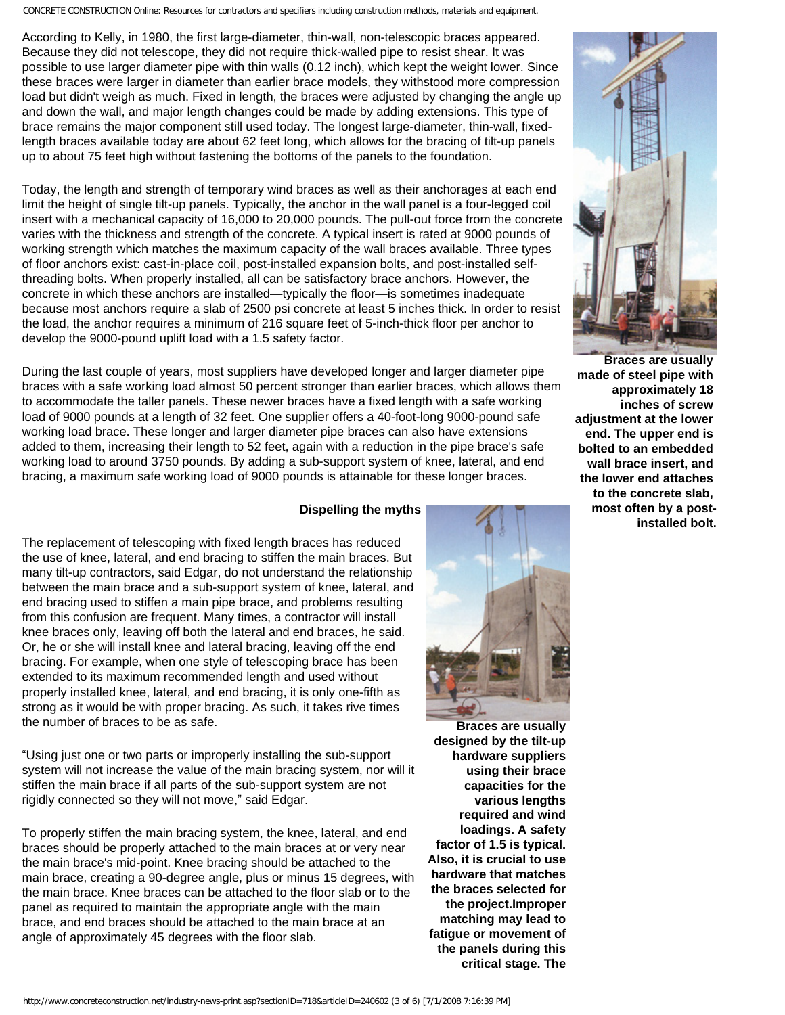According to Kelly, in 1980, the first large-diameter, thin-wall, non-telescopic braces appeared. Because they did not telescope, they did not require thick-walled pipe to resist shear. It was possible to use larger diameter pipe with thin walls (0.12 inch), which kept the weight lower. Since these braces were larger in diameter than earlier brace models, they withstood more compression load but didn't weigh as much. Fixed in length, the braces were adjusted by changing the angle up and down the wall, and major length changes could be made by adding extensions. This type of brace remains the major component still used today. The longest large-diameter, thin-wall, fixedlength braces available today are about 62 feet long, which allows for the bracing of tilt-up panels up to about 75 feet high without fastening the bottoms of the panels to the foundation.

Today, the length and strength of temporary wind braces as well as their anchorages at each end limit the height of single tilt-up panels. Typically, the anchor in the wall panel is a four-legged coil insert with a mechanical capacity of 16,000 to 20,000 pounds. The pull-out force from the concrete varies with the thickness and strength of the concrete. A typical insert is rated at 9000 pounds of working strength which matches the maximum capacity of the wall braces available. Three types of floor anchors exist: cast-in-place coil, post-installed expansion bolts, and post-installed selfthreading bolts. When properly installed, all can be satisfactory brace anchors. However, the concrete in which these anchors are installed—typically the floor—is sometimes inadequate because most anchors require a slab of 2500 psi concrete at least 5 inches thick. In order to resist the load, the anchor requires a minimum of 216 square feet of 5-inch-thick floor per anchor to develop the 9000-pound uplift load with a 1.5 safety factor.

During the last couple of years, most suppliers have developed longer and larger diameter pipe braces with a safe working load almost 50 percent stronger than earlier braces, which allows them to accommodate the taller panels. These newer braces have a fixed length with a safe working load of 9000 pounds at a length of 32 feet. One supplier offers a 40-foot-long 9000-pound safe working load brace. These longer and larger diameter pipe braces can also have extensions added to them, increasing their length to 52 feet, again with a reduction in the pipe brace's safe working load to around 3750 pounds. By adding a sub-support system of knee, lateral, and end bracing, a maximum safe working load of 9000 pounds is attainable for these longer braces.

#### **Dispelling the myths**

The replacement of telescoping with fixed length braces has reduced the use of knee, lateral, and end bracing to stiffen the main braces. But many tilt-up contractors, said Edgar, do not understand the relationship between the main brace and a sub-support system of knee, lateral, and end bracing used to stiffen a main pipe brace, and problems resulting from this confusion are frequent. Many times, a contractor will install knee braces only, leaving off both the lateral and end braces, he said. Or, he or she will install knee and lateral bracing, leaving off the end bracing. For example, when one style of telescoping brace has been extended to its maximum recommended length and used without properly installed knee, lateral, and end bracing, it is only one-fifth as strong as it would be with proper bracing. As such, it takes rive times the number of braces to be as safe.

"Using just one or two parts or improperly installing the sub-support system will not increase the value of the main bracing system, nor will it stiffen the main brace if all parts of the sub-support system are not rigidly connected so they will not move," said Edgar.

To properly stiffen the main bracing system, the knee, lateral, and end braces should be properly attached to the main braces at or very near the main brace's mid-point. Knee bracing should be attached to the main brace, creating a 90-degree angle, plus or minus 15 degrees, with the main brace. Knee braces can be attached to the floor slab or to the panel as required to maintain the appropriate angle with the main brace, and end braces should be attached to the main brace at an angle of approximately 45 degrees with the floor slab.



**Braces are usually designed by the tilt-up hardware suppliers using their brace capacities for the various lengths required and wind loadings. A safety factor of 1.5 is typical. Also, it is crucial to use hardware that matches the braces selected for the project.Improper matching may lead to fatigue or movement of the panels during this critical stage. The** 



**Braces are usually made of steel pipe with approximately 18 inches of screw adjustment at the lower end. The upper end is bolted to an embedded wall brace insert, and the lower end attaches to the concrete slab, most often by a postinstalled bolt.**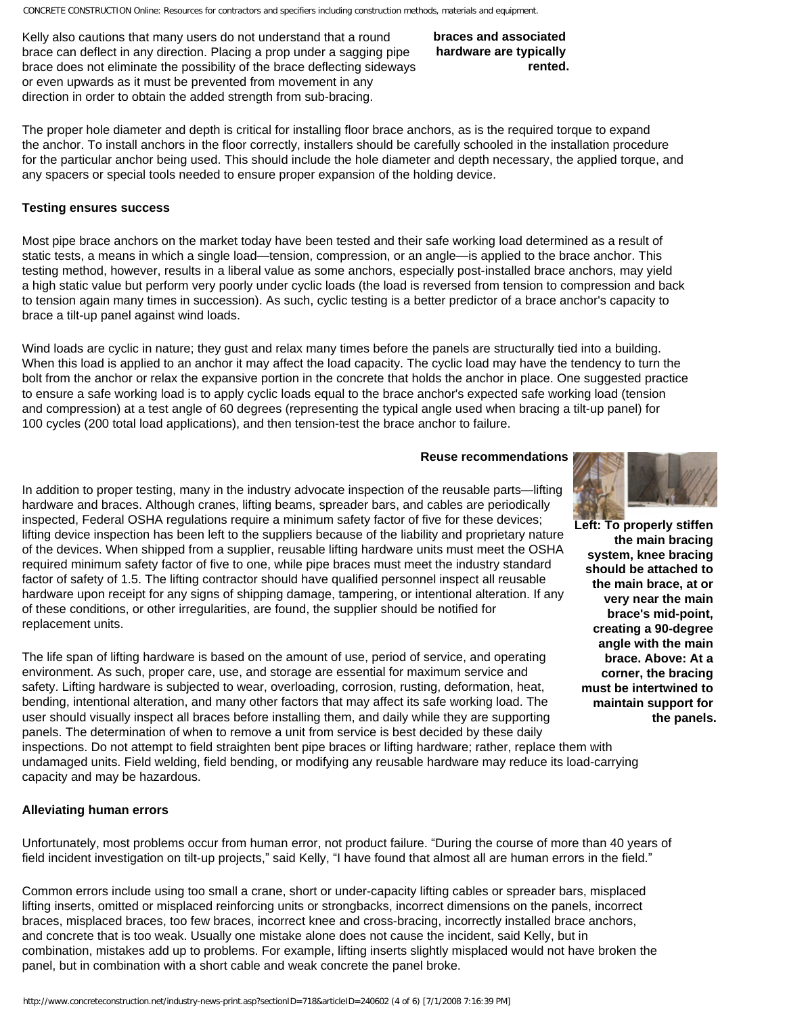Kelly also cautions that many users do not understand that a round brace can deflect in any direction. Placing a prop under a sagging pipe brace does not eliminate the possibility of the brace deflecting sideways or even upwards as it must be prevented from movement in any direction in order to obtain the added strength from sub-bracing.

**braces and associated hardware are typically rented.**

The proper hole diameter and depth is critical for installing floor brace anchors, as is the required torque to expand the anchor. To install anchors in the floor correctly, installers should be carefully schooled in the installation procedure for the particular anchor being used. This should include the hole diameter and depth necessary, the applied torque, and any spacers or special tools needed to ensure proper expansion of the holding device.

#### **Testing ensures success**

Most pipe brace anchors on the market today have been tested and their safe working load determined as a result of static tests, a means in which a single load—tension, compression, or an angle—is applied to the brace anchor. This testing method, however, results in a liberal value as some anchors, especially post-installed brace anchors, may yield a high static value but perform very poorly under cyclic loads (the load is reversed from tension to compression and back to tension again many times in succession). As such, cyclic testing is a better predictor of a brace anchor's capacity to brace a tilt-up panel against wind loads.

Wind loads are cyclic in nature; they gust and relax many times before the panels are structurally tied into a building. When this load is applied to an anchor it may affect the load capacity. The cyclic load may have the tendency to turn the bolt from the anchor or relax the expansive portion in the concrete that holds the anchor in place. One suggested practice to ensure a safe working load is to apply cyclic loads equal to the brace anchor's expected safe working load (tension and compression) at a test angle of 60 degrees (representing the typical angle used when bracing a tilt-up panel) for 100 cycles (200 total load applications), and then tension-test the brace anchor to failure.

#### **Reuse recommendations**

**Left: To properly stiffen the main bracing system, knee bracing should be attached to the main brace, at or very near the main brace's mid-point, creating a 90-degree angle with the main brace. Above: At a corner, the bracing must be intertwined to maintain support for the panels.**

In addition to proper testing, many in the industry advocate inspection of the reusable parts—lifting hardware and braces. Although cranes, lifting beams, spreader bars, and cables are periodically inspected, Federal OSHA regulations require a minimum safety factor of five for these devices; lifting device inspection has been left to the suppliers because of the liability and proprietary nature of the devices. When shipped from a supplier, reusable lifting hardware units must meet the OSHA required minimum safety factor of five to one, while pipe braces must meet the industry standard factor of safety of 1.5. The lifting contractor should have qualified personnel inspect all reusable hardware upon receipt for any signs of shipping damage, tampering, or intentional alteration. If any of these conditions, or other irregularities, are found, the supplier should be notified for replacement units.

The life span of lifting hardware is based on the amount of use, period of service, and operating environment. As such, proper care, use, and storage are essential for maximum service and safety. Lifting hardware is subjected to wear, overloading, corrosion, rusting, deformation, heat, bending, intentional alteration, and many other factors that may affect its safe working load. The user should visually inspect all braces before installing them, and daily while they are supporting panels. The determination of when to remove a unit from service is best decided by these daily inspections. Do not attempt to field straighten bent pipe braces or lifting hardware; rather, replace them with

undamaged units. Field welding, field bending, or modifying any reusable hardware may reduce its load-carrying capacity and may be hazardous.

#### **Alleviating human errors**

Unfortunately, most problems occur from human error, not product failure. "During the course of more than 40 years of field incident investigation on tilt-up projects," said Kelly, "I have found that almost all are human errors in the field."

Common errors include using too small a crane, short or under-capacity lifting cables or spreader bars, misplaced lifting inserts, omitted or misplaced reinforcing units or strongbacks, incorrect dimensions on the panels, incorrect braces, misplaced braces, too few braces, incorrect knee and cross-bracing, incorrectly installed brace anchors, and concrete that is too weak. Usually one mistake alone does not cause the incident, said Kelly, but in combination, mistakes add up to problems. For example, lifting inserts slightly misplaced would not have broken the panel, but in combination with a short cable and weak concrete the panel broke.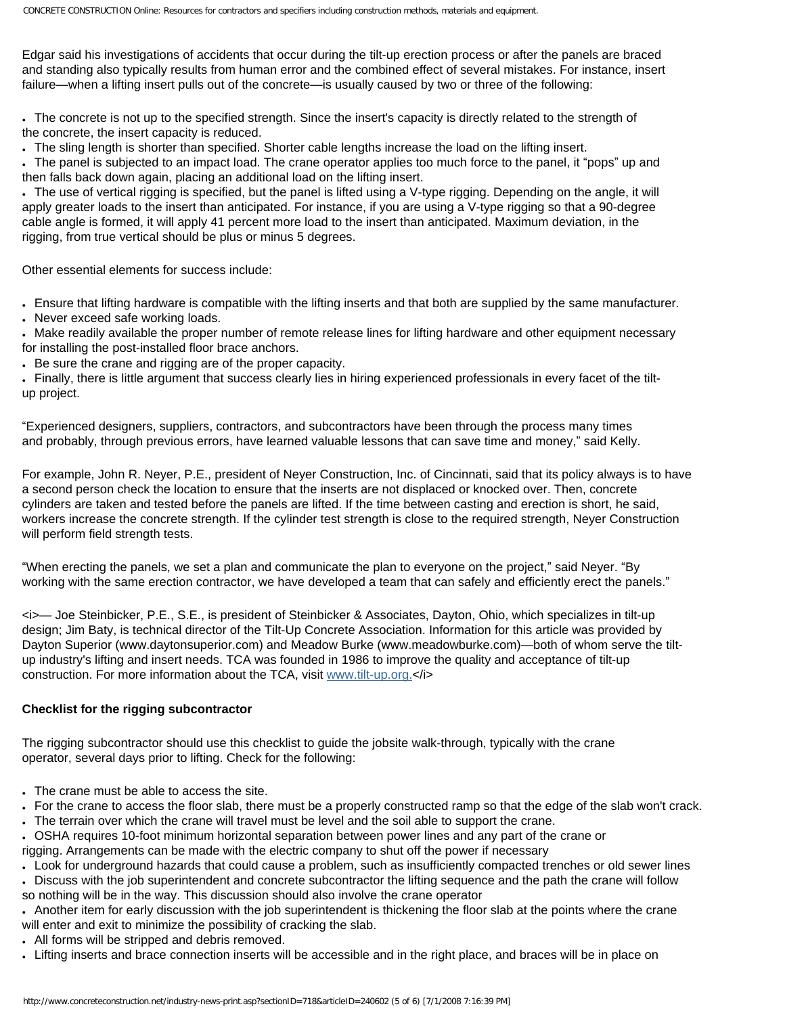Edgar said his investigations of accidents that occur during the tilt-up erection process or after the panels are braced and standing also typically results from human error and the combined effect of several mistakes. For instance, insert failure—when a lifting insert pulls out of the concrete—is usually caused by two or three of the following:

• The concrete is not up to the specified strength. Since the insert's capacity is directly related to the strength of the concrete, the insert capacity is reduced.

● The sling length is shorter than specified. Shorter cable lengths increase the load on the lifting insert.

● The panel is subjected to an impact load. The crane operator applies too much force to the panel, it "pops" up and then falls back down again, placing an additional load on the lifting insert.

• The use of vertical rigging is specified, but the panel is lifted using a V-type rigging. Depending on the angle, it will apply greater loads to the insert than anticipated. For instance, if you are using a V-type rigging so that a 90-degree cable angle is formed, it will apply 41 percent more load to the insert than anticipated. Maximum deviation, in the rigging, from true vertical should be plus or minus 5 degrees.

Other essential elements for success include:

● Ensure that lifting hardware is compatible with the lifting inserts and that both are supplied by the same manufacturer.

• Never exceed safe working loads.

• Make readily available the proper number of remote release lines for lifting hardware and other equipment necessary for installing the post-installed floor brace anchors.

• Be sure the crane and rigging are of the proper capacity.

● Finally, there is little argument that success clearly lies in hiring experienced professionals in every facet of the tiltup project.

"Experienced designers, suppliers, contractors, and subcontractors have been through the process many times and probably, through previous errors, have learned valuable lessons that can save time and money," said Kelly.

For example, John R. Neyer, P.E., president of Neyer Construction, Inc. of Cincinnati, said that its policy always is to have a second person check the location to ensure that the inserts are not displaced or knocked over. Then, concrete cylinders are taken and tested before the panels are lifted. If the time between casting and erection is short, he said, workers increase the concrete strength. If the cylinder test strength is close to the required strength, Neyer Construction will perform field strength tests.

"When erecting the panels, we set a plan and communicate the plan to everyone on the project," said Neyer. "By working with the same erection contractor, we have developed a team that can safely and efficiently erect the panels."

<i>— Joe Steinbicker, P.E., S.E., is president of Steinbicker & Associates, Dayton, Ohio, which specializes in tilt-up design; Jim Baty, is technical director of the Tilt-Up Concrete Association. Information for this article was provided by Dayton Superior (www.daytonsuperior.com) and Meadow Burke (www.meadowburke.com)—both of whom serve the tiltup industry's lifting and insert needs. TCA was founded in 1986 to improve the quality and acceptance of tilt-up construction. For more information about the TCA, visit [www.tilt-up.org.<](http://www.tilt-up.org/)/i>

#### **Checklist for the rigging subcontractor**

The rigging subcontractor should use this checklist to guide the jobsite walk-through, typically with the crane operator, several days prior to lifting. Check for the following:

• The crane must be able to access the site.

• For the crane to access the floor slab, there must be a properly constructed ramp so that the edge of the slab won't crack.

- The terrain over which the crane will travel must be level and the soil able to support the crane.
- OSHA requires 10-foot minimum horizontal separation between power lines and any part of the crane or

rigging. Arrangements can be made with the electric company to shut off the power if necessary

• Look for underground hazards that could cause a problem, such as insufficiently compacted trenches or old sewer lines

• Discuss with the job superintendent and concrete subcontractor the lifting sequence and the path the crane will follow so nothing will be in the way. This discussion should also involve the crane operator

• Another item for early discussion with the job superintendent is thickening the floor slab at the points where the crane will enter and exit to minimize the possibility of cracking the slab.

- All forms will be stripped and debris removed.
- Lifting inserts and brace connection inserts will be accessible and in the right place, and braces will be in place on